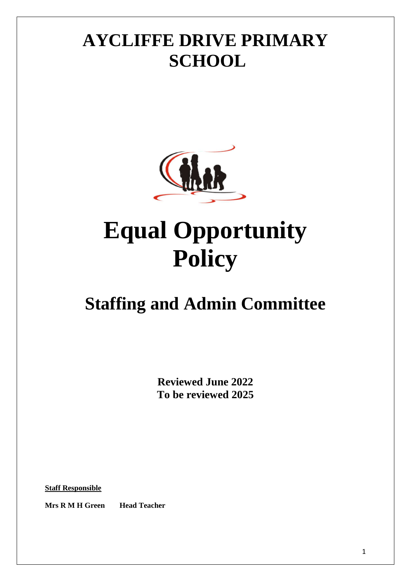# **AYCLIFFE DRIVE PRIMARY SCHOOL**



# **Equal Opportunity Policy**

# **Staffing and Admin Committee**

**Reviewed June 2022 To be reviewed 2025**

**Staff Responsible**

**Mrs R M H Green Head Teacher**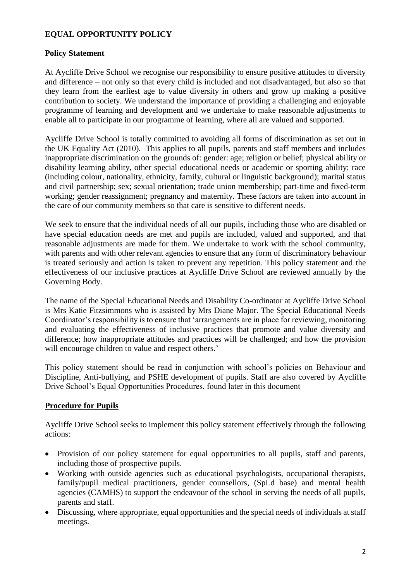### **EQUAL OPPORTUNITY POLICY**

#### **Policy Statement**

At Aycliffe Drive School we recognise our responsibility to ensure positive attitudes to diversity and difference – not only so that every child is included and not disadvantaged, but also so that they learn from the earliest age to value diversity in others and grow up making a positive contribution to society. We understand the importance of providing a challenging and enjoyable programme of learning and development and we undertake to make reasonable adjustments to enable all to participate in our programme of learning, where all are valued and supported.

Aycliffe Drive School is totally committed to avoiding all forms of discrimination as set out in the UK Equality Act (2010). This applies to all pupils, parents and staff members and includes inappropriate discrimination on the grounds of: gender: age; religion or belief; physical ability or disability learning ability, other special educational needs or academic or sporting ability; race (including colour, nationality, ethnicity, family, cultural or linguistic background); marital status and civil partnership; sex; sexual orientation; trade union membership; part-time and fixed-term working; gender reassignment; pregnancy and maternity. These factors are taken into account in the care of our community members so that care is sensitive to different needs.

We seek to ensure that the individual needs of all our pupils, including those who are disabled or have special education needs are met and pupils are included, valued and supported, and that reasonable adjustments are made for them. We undertake to work with the school community, with parents and with other relevant agencies to ensure that any form of discriminatory behaviour is treated seriously and action is taken to prevent any repetition. This policy statement and the effectiveness of our inclusive practices at Aycliffe Drive School are reviewed annually by the Governing Body.

The name of the Special Educational Needs and Disability Co-ordinator at Aycliffe Drive School is Mrs Katie Fitzsimmons who is assisted by Mrs Diane Major. The Special Educational Needs Coordinator's responsibility is to ensure that 'arrangements are in place for reviewing, monitoring and evaluating the effectiveness of inclusive practices that promote and value diversity and difference; how inappropriate attitudes and practices will be challenged; and how the provision will encourage children to value and respect others.'

This policy statement should be read in conjunction with school's policies on Behaviour and Discipline, Anti-bullying, and PSHE development of pupils. Staff are also covered by Aycliffe Drive School's Equal Opportunities Procedures, found later in this document

#### **Procedure for Pupils**

Aycliffe Drive School seeks to implement this policy statement effectively through the following actions:

- Provision of our policy statement for equal opportunities to all pupils, staff and parents, including those of prospective pupils.
- Working with outside agencies such as educational psychologists, occupational therapists, family/pupil medical practitioners, gender counsellors, (SpLd base) and mental health agencies (CAMHS) to support the endeavour of the school in serving the needs of all pupils, parents and staff.
- Discussing, where appropriate, equal opportunities and the special needs of individuals at staff meetings.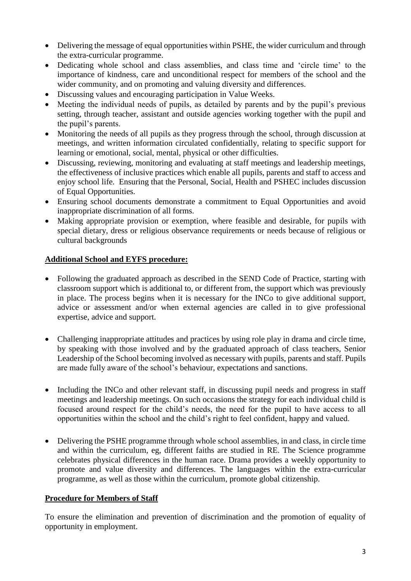- Delivering the message of equal opportunities within PSHE, the wider curriculum and through the extra-curricular programme.
- Dedicating whole school and class assemblies, and class time and 'circle time' to the importance of kindness, care and unconditional respect for members of the school and the wider community, and on promoting and valuing diversity and differences.
- Discussing values and encouraging participation in Value Weeks.
- Meeting the individual needs of pupils, as detailed by parents and by the pupil's previous setting, through teacher, assistant and outside agencies working together with the pupil and the pupil's parents.
- Monitoring the needs of all pupils as they progress through the school, through discussion at meetings, and written information circulated confidentially, relating to specific support for learning or emotional, social, mental, physical or other difficulties.
- Discussing, reviewing, monitoring and evaluating at staff meetings and leadership meetings, the effectiveness of inclusive practices which enable all pupils, parents and staff to access and enjoy school life. Ensuring that the Personal, Social, Health and PSHEC includes discussion of Equal Opportunities.
- Ensuring school documents demonstrate a commitment to Equal Opportunities and avoid inappropriate discrimination of all forms.
- Making appropriate provision or exemption, where feasible and desirable, for pupils with special dietary, dress or religious observance requirements or needs because of religious or cultural backgrounds

## **Additional School and EYFS procedure:**

- Following the graduated approach as described in the SEND Code of Practice, starting with classroom support which is additional to, or different from, the support which was previously in place. The process begins when it is necessary for the INCo to give additional support, advice or assessment and/or when external agencies are called in to give professional expertise, advice and support.
- Challenging inappropriate attitudes and practices by using role play in drama and circle time, by speaking with those involved and by the graduated approach of class teachers, Senior Leadership of the School becoming involved as necessary with pupils, parents and staff. Pupils are made fully aware of the school's behaviour, expectations and sanctions.
- Including the INCo and other relevant staff, in discussing pupil needs and progress in staff meetings and leadership meetings. On such occasions the strategy for each individual child is focused around respect for the child's needs, the need for the pupil to have access to all opportunities within the school and the child's right to feel confident, happy and valued.
- Delivering the PSHE programme through whole school assemblies, in and class, in circle time and within the curriculum, eg, different faiths are studied in RE. The Science programme celebrates physical differences in the human race. Drama provides a weekly opportunity to promote and value diversity and differences. The languages within the extra-curricular programme, as well as those within the curriculum, promote global citizenship.

#### **Procedure for Members of Staff**

To ensure the elimination and prevention of discrimination and the promotion of equality of opportunity in employment.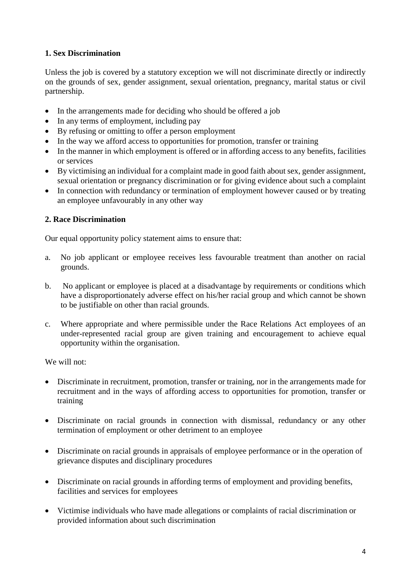# **1. Sex Discrimination**

Unless the job is covered by a statutory exception we will not discriminate directly or indirectly on the grounds of sex, gender assignment, sexual orientation, pregnancy, marital status or civil partnership.

- In the arrangements made for deciding who should be offered a job
- In any terms of employment, including pay
- By refusing or omitting to offer a person employment
- In the way we afford access to opportunities for promotion, transfer or training
- In the manner in which employment is offered or in affording access to any benefits, facilities or services
- By victimising an individual for a complaint made in good faith about sex, gender assignment, sexual orientation or pregnancy discrimination or for giving evidence about such a complaint
- In connection with redundancy or termination of employment however caused or by treating an employee unfavourably in any other way

#### **2. Race Discrimination**

Our equal opportunity policy statement aims to ensure that:

- a. No job applicant or employee receives less favourable treatment than another on racial grounds.
- b. No applicant or employee is placed at a disadvantage by requirements or conditions which have a disproportionately adverse effect on his/her racial group and which cannot be shown to be justifiable on other than racial grounds.
- c. Where appropriate and where permissible under the Race Relations Act employees of an under-represented racial group are given training and encouragement to achieve equal opportunity within the organisation.

We will not:

- Discriminate in recruitment, promotion, transfer or training, nor in the arrangements made for recruitment and in the ways of affording access to opportunities for promotion, transfer or training
- Discriminate on racial grounds in connection with dismissal, redundancy or any other termination of employment or other detriment to an employee
- Discriminate on racial grounds in appraisals of employee performance or in the operation of grievance disputes and disciplinary procedures
- Discriminate on racial grounds in affording terms of employment and providing benefits, facilities and services for employees
- Victimise individuals who have made allegations or complaints of racial discrimination or provided information about such discrimination